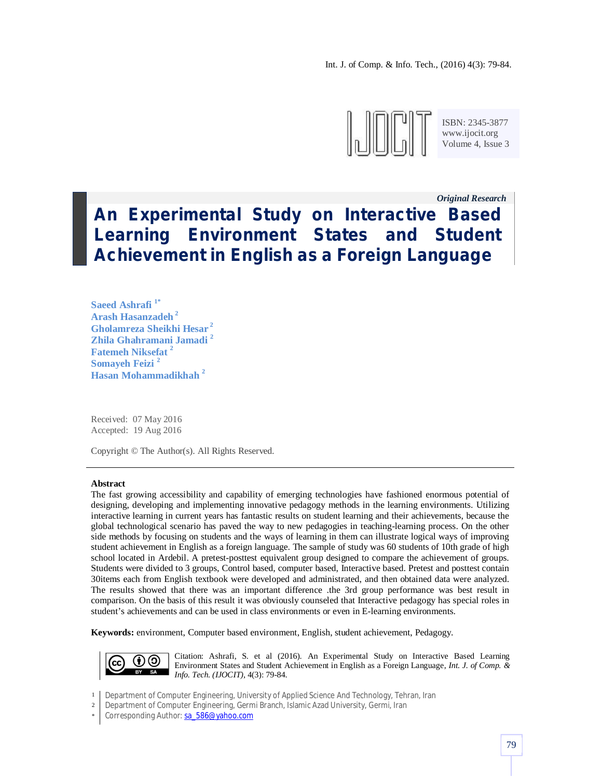

ISBN: 2345-3877 www.ijocit.org Volume 4, Issue 3

*Original Research\_\_*

# **An Experimental Study on Interactive Based Learning Environment States and Student Achievement in English as a Foreign Language**

**Saeed Ashrafi 1\* Arash Hasanzadeh <sup>2</sup> Gholamreza Sheikhi Hesar <sup>2</sup> Zhila Ghahramani Jamadi <sup>2</sup> Fatemeh Niksefat <sup>2</sup> Somayeh Feizi <sup>2</sup> Hasan Mohammadikhah <sup>2</sup>**

Received: 07 May 2016 Accepted: 19 Aug 2016

Copyright © The Author(s). All Rights Reserved.

#### **Abstract**

The fast growing accessibility and capability of emerging technologies have fashioned enormous potential of designing, developing and implementing innovative pedagogy methods in the learning environments. Utilizing interactive learning in current years has fantastic results on student learning and their achievements, because the global technological scenario has paved the way to new pedagogies in teaching-learning process. On the other side methods by focusing on students and the ways of learning in them can illustrate logical ways of improving student achievement in English as a foreign language. The sample of study was 60 students of 10th grade of high school located in Ardebil. A pretest-posttest equivalent group designed to compare the achievement of groups. Students were divided to 3 groups, Control based, computer based, Interactive based. Pretest and posttest contain 30items each from English textbook were developed and administrated, and then obtained data were analyzed. The results showed that there was an important difference .the 3rd group performance was best result in comparison. On the basis of this result it was obviously counseled that Interactive pedagogy has special roles in student's achievements and can be used in class environments or even in E-learning environments.

**Keywords:** environment, Computer based environment, English, student achievement, Pedagogy.



Citation: Ashrafi, S. et al (2016). An Experimental Study on Interactive Based Learning Environment States and Student Achievement in English as a Foreign Language, *Int. J. of Comp. & Info. Tech. (IJOCIT)*, 4(3): 79-84.

1 Department of Computer Engineering, University of Applied Science And Technology, Tehran, Iran

\* Corresponding Author: sa\_586@yahoo.com

<sup>2</sup> Department of Computer Engineering, Germi Branch, Islamic Azad University, Germi, Iran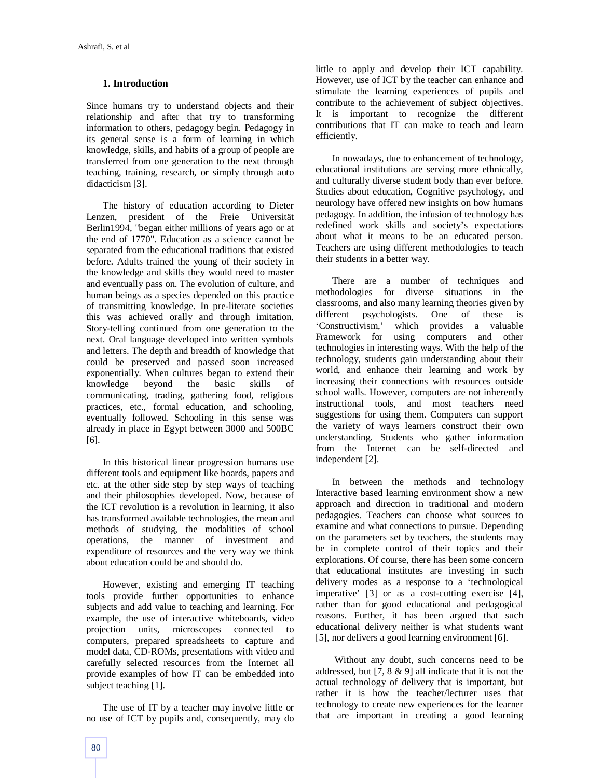# **1. Introduction**

Since humans try to understand objects and their relationship and after that try to transforming information to others, pedagogy begin. Pedagogy in its general sense is a form of learning in which knowledge, skills, and habits of a group of people are transferred from one generation to the next through teaching, training, research, or simply through auto didacticism [3].

The history of education according to Dieter Lenzen, president of the Freie Universität Berlin1994, "began either millions of years ago or at the end of 1770". Education as a science cannot be separated from the educational traditions that existed before. Adults trained the young of their society in the knowledge and skills they would need to master and eventually pass on. The evolution of culture, and human beings as a species depended on this practice of transmitting knowledge. In pre-literate societies this was achieved orally and through imitation. Story-telling continued from one generation to the next. Oral language developed into written symbols and letters. The depth and breadth of knowledge that could be preserved and passed soon increased exponentially. When cultures began to extend their knowledge beyond the basic skills of communicating, trading, gathering food, religious practices, etc., formal education, and schooling, eventually followed. Schooling in this sense was already in place in Egypt between 3000 and 500BC [6].

In this historical linear progression humans use different tools and equipment like boards, papers and etc. at the other side step by step ways of teaching and their philosophies developed. Now, because of the ICT revolution is a revolution in learning, it also has transformed available technologies, the mean and methods of studying, the modalities of school operations, the manner of investment and expenditure of resources and the very way we think about education could be and should do.

However, existing and emerging IT teaching tools provide further opportunities to enhance subjects and add value to teaching and learning. For example, the use of interactive whiteboards, video projection units, microscopes connected to computers, prepared spreadsheets to capture and model data, CD-ROMs, presentations with video and carefully selected resources from the Internet all provide examples of how IT can be embedded into subject teaching [1].

The use of IT by a teacher may involve little or no use of ICT by pupils and, consequently, may do little to apply and develop their ICT capability. However, use of ICT by the teacher can enhance and stimulate the learning experiences of pupils and contribute to the achievement of subject objectives. It is important to recognize the different contributions that IT can make to teach and learn efficiently.

In nowadays, due to enhancement of technology, educational institutions are serving more ethnically, and culturally diverse student body than ever before. Studies about education, Cognitive psychology, and neurology have offered new insights on how humans pedagogy. In addition, the infusion of technology has redefined work skills and society's expectations about what it means to be an educated person. Teachers are using different methodologies to teach their students in a better way.

There are a number of techniques and methodologies for diverse situations in the classrooms, and also many learning theories given by different psychologists. One of these is<br>
'Constructivism,' which provides a valuable which provides a valuable Framework for using computers and other technologies in interesting ways. With the help of the technology, students gain understanding about their world, and enhance their learning and work by increasing their connections with resources outside school walls. However, computers are not inherently instructional tools, and most teachers need suggestions for using them. Computers can support the variety of ways learners construct their own understanding. Students who gather information from the Internet can be self-directed and independent [2].

In between the methods and technology Interactive based learning environment show a new approach and direction in traditional and modern pedagogies. Teachers can choose what sources to examine and what connections to pursue. Depending on the parameters set by teachers, the students may be in complete control of their topics and their explorations. Of course, there has been some concern that educational institutes are investing in such delivery modes as a response to a 'technological imperative' [3] or as a cost-cutting exercise [4], rather than for good educational and pedagogical reasons. Further, it has been argued that such educational delivery neither is what students want [5], nor delivers a good learning environment [6].

Without any doubt, such concerns need to be addressed, but [7, 8 & 9] all indicate that it is not the actual technology of delivery that is important, but rather it is how the teacher/lecturer uses that technology to create new experiences for the learner that are important in creating a good learning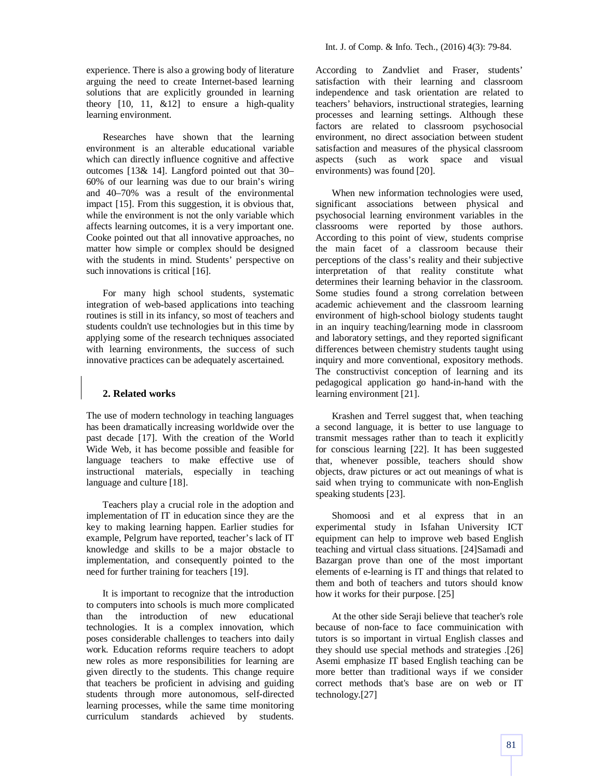experience. There is also a growing body of literature arguing the need to create Internet-based learning solutions that are explicitly grounded in learning theory  $[10, 11, \& 12]$  to ensure a high-quality learning environment.

Researches have shown that the learning environment is an alterable educational variable which can directly influence cognitive and affective outcomes [13& 14]. Langford pointed out that 30– 60% of our learning was due to our brain's wiring and 40–70% was a result of the environmental impact [15]. From this suggestion, it is obvious that, while the environment is not the only variable which affects learning outcomes, it is a very important one. Cooke pointed out that all innovative approaches, no matter how simple or complex should be designed with the students in mind. Students' perspective on such innovations is critical [16].

For many high school students, systematic integration of web-based applications into teaching routines is still in its infancy, so most of teachers and students couldn't use technologies but in this time by applying some of the research techniques associated with learning environments, the success of such innovative practices can be adequately ascertained.

## **2. Related works**

The use of modern technology in teaching languages has been dramatically increasing worldwide over the past decade [17]. With the creation of the World Wide Web, it has become possible and feasible for language teachers to make effective use of instructional materials, especially in teaching language and culture [18].

Teachers play a crucial role in the adoption and implementation of IT in education since they are the key to making learning happen. Earlier studies for example, Pelgrum have reported, teacher's lack of IT knowledge and skills to be a major obstacle to implementation, and consequently pointed to the need for further training for teachers [19].

It is important to recognize that the introduction to computers into schools is much more complicated than the introduction of new educational technologies. It is a complex innovation, which poses considerable challenges to teachers into daily work. Education reforms require teachers to adopt new roles as more responsibilities for learning are given directly to the students. This change require that teachers be proficient in advising and guiding students through more autonomous, self-directed learning processes, while the same time monitoring curriculum standards achieved by students. According to Zandvliet and Fraser, students' satisfaction with their learning and classroom independence and task orientation are related to teachers' behaviors, instructional strategies, learning processes and learning settings. Although these factors are related to classroom psychosocial environment, no direct association between student satisfaction and measures of the physical classroom aspects (such as work space and visual environments) was found [20].

When new information technologies were used, significant associations between physical and psychosocial learning environment variables in the classrooms were reported by those authors. According to this point of view, students comprise the main facet of a classroom because their perceptions of the class's reality and their subjective interpretation of that reality constitute what determines their learning behavior in the classroom. Some studies found a strong correlation between academic achievement and the classroom learning environment of high-school biology students taught in an inquiry teaching/learning mode in classroom and laboratory settings, and they reported significant differences between chemistry students taught using inquiry and more conventional, expository methods. The constructivist conception of learning and its pedagogical application go hand-in-hand with the learning environment [21].

Krashen and Terrel suggest that, when teaching a second language, it is better to use language to transmit messages rather than to teach it explicitly for conscious learning [22]. It has been suggested that, whenever possible, teachers should show objects, draw pictures or act out meanings of what is said when trying to communicate with non-English speaking students [23].

Shomoosi and et al express that in an experimental study in Isfahan University ICT equipment can help to improve web based English teaching and virtual class situations. [24]Samadi and Bazargan prove than one of the most important elements of e-learning is IT and things that related to them and both of teachers and tutors should know how it works for their purpose. [25]

At the other side Seraji believe that teacher's role because of non-face to face commuinication with tutors is so important in virtual English classes and they should use special methods and strategies .[26] Asemi emphasize IT based English teaching can be more better than traditional ways if we consider correct methods that's base are on web or IT technology.[27]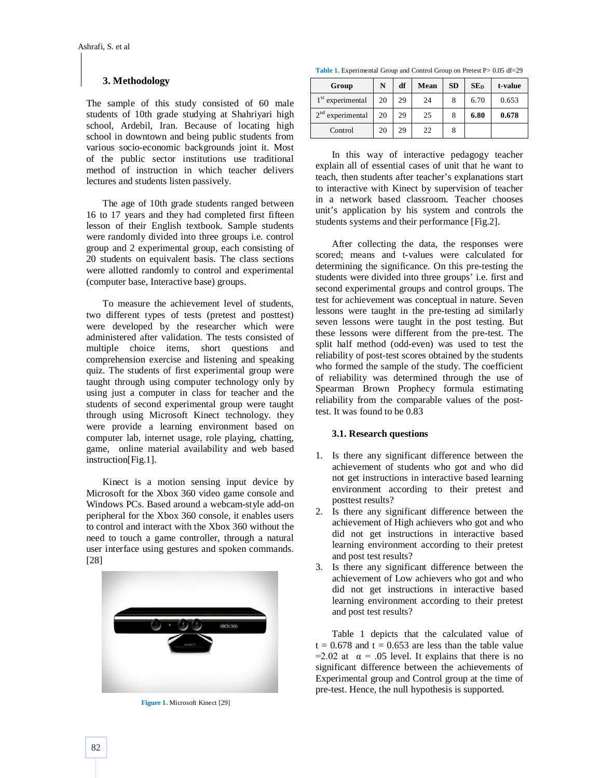## **3. Methodology**

The sample of this study consisted of 60 male students of 10th grade studying at Shahriyari high school, Ardebil, Iran. Because of locating high school in downtown and being public students from various socio-economic backgrounds joint it. Most of the public sector institutions use traditional method of instruction in which teacher delivers lectures and students listen passively.

The age of 10th grade students ranged between 16 to 17 years and they had completed first fifteen lesson of their English textbook. Sample students were randomly divided into three groups i.e. control group and 2 experimental group, each consisting of 20 students on equivalent basis. The class sections were allotted randomly to control and experimental (computer base, Interactive base) groups.

To measure the achievement level of students, two different types of tests (pretest and posttest) were developed by the researcher which were administered after validation. The tests consisted of multiple choice items, short questions and comprehension exercise and listening and speaking quiz. The students of first experimental group were taught through using computer technology only by using just a computer in class for teacher and the students of second experimental group were taught through using Microsoft Kinect technology. they were provide a learning environment based on computer lab, internet usage, role playing, chatting, game, online material availability and web based instruction[Fig.1].

Kinect is a motion sensing input device by Microsoft for the Xbox 360 video game console and Windows PCs. Based around a webcam-style add-on peripheral for the Xbox 360 console, it enables users to control and interact with the Xbox 360 without the need to touch a game controller, through a natural user interface using gestures and spoken commands. [28]



**Figure 1.** Microsoft Kinect [29]

Table 1. Experimental Group and Control Group on Pretest P > 0.05 df=29

| Group              | N  | df | Mean | <b>SD</b> | SE <sub>D</sub> | t-value |
|--------------------|----|----|------|-----------|-----------------|---------|
| $1st$ experimental | 20 | 29 | 24   | 8         | 6.70            | 0.653   |
| $2nd$ experimental | 20 | 29 | 25   | 8         | 6.80            | 0.678   |
| Control            | 20 | 29 | 22   | 8         |                 |         |

In this way of interactive pedagogy teacher explain all of essential cases of unit that he want to teach, then students after teacher's explanations start to interactive with Kinect by supervision of teacher in a network based classroom. Teacher chooses unit's application by his system and controls the students systems and their performance [Fig.2].

After collecting the data, the responses were scored; means and t-values were calculated for determining the significance. On this pre-testing the students were divided into three groups' i.e. first and second experimental groups and control groups. The test for achievement was conceptual in nature. Seven lessons were taught in the pre-testing ad similarly seven lessons were taught in the post testing. But these lessons were different from the pre-test. The split half method (odd-even) was used to test the reliability of post-test scores obtained by the students who formed the sample of the study. The coefficient of reliability was determined through the use of Spearman Brown Prophecy formula estimating reliability from the comparable values of the posttest. It was found to be 0.83

## **3.1. Research questions**

- 1. Is there any significant difference between the achievement of students who got and who did not get instructions in interactive based learning environment according to their pretest and posttest results?
- 2. Is there any significant difference between the achievement of High achievers who got and who did not get instructions in interactive based learning environment according to their pretest and post test results?
- 3. Is there any significant difference between the achievement of Low achievers who got and who did not get instructions in interactive based learning environment according to their pretest and post test results?

Table 1 depicts that the calculated value of  $t = 0.678$  and  $t = 0.653$  are less than the table value  $=2.02$  at  $\alpha = .05$  level. It explains that there is no significant difference between the achievements of Experimental group and Control group at the time of pre-test. Hence, the null hypothesis is supported.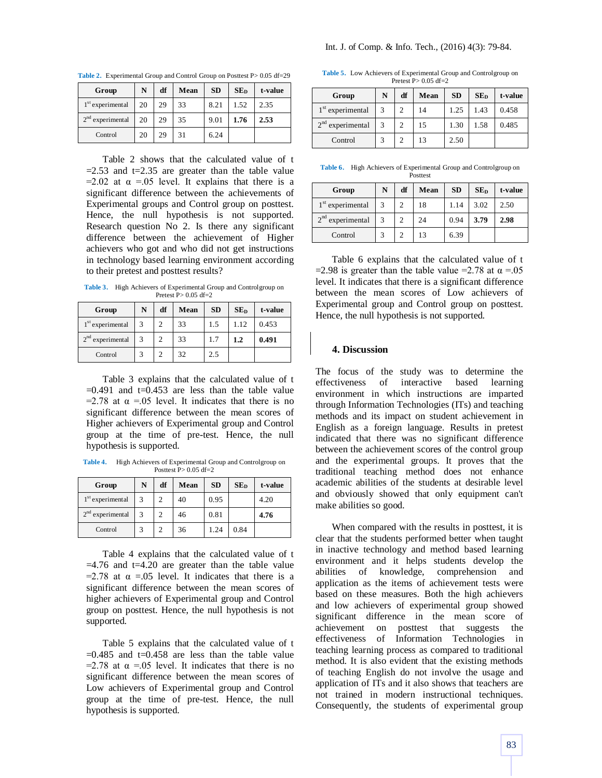| Group              | N  | df | Mean | <b>SD</b> | SE <sub>D</sub> | t-value |
|--------------------|----|----|------|-----------|-----------------|---------|
| $1st$ experimental | 20 | 29 | 33   | 8.21      | 1.52            | 2.35    |
| $2nd$ experimental | 20 | 29 | 35   | 9.01      | 1.76            | 2.53    |
| Control            | 20 | 29 | 31   | 6.24      |                 |         |

Table 2. Experimental Group and Control Group on Posttest P> 0.05 df=29

Table 2 shows that the calculated value of t  $=2.53$  and  $t=2.35$  are greater than the table value  $=2.02$  at  $\alpha = 0.05$  level. It explains that there is a significant difference between the achievements of Experimental groups and Control group on posttest. Hence, the null hypothesis is not supported. Research question No 2. Is there any significant difference between the achievement of Higher achievers who got and who did not get instructions in technology based learning environment according to their pretest and posttest results?

**Table 3.** High Achievers of Experimental Group and Controlgroup on Pretest  $P > 0.05$  df=2

| Group              | N | df            | Mean | <b>SD</b> | SE <sub>D</sub> | t-value |
|--------------------|---|---------------|------|-----------|-----------------|---------|
| $1st$ experimental |   | $\mathcal{D}$ | 33   | 1.5       | 1.12            | 0.453   |
| $2nd$ experimental |   | $\mathcal{D}$ | 33   | 1.7       | 1.2             | 0.491   |
| Control            |   | $\mathcal{D}$ | 32   | 2.5       |                 |         |

Table 3 explains that the calculated value of t  $=0.491$  and  $t=0.453$  are less than the table value  $=$ 2.78 at  $\alpha$  =.05 level. It indicates that there is no significant difference between the mean scores of Higher achievers of Experimental group and Control group at the time of pre-test. Hence, the null hypothesis is supported.

**Table 4.** High Achievers of Experimental Group and Controlgroup on Posttest  $P > 0.05$  df=2

| Group              | N | df | Mean | <b>SD</b> | SE <sub>D</sub> | t-value |
|--------------------|---|----|------|-----------|-----------------|---------|
| $1st$ experimental | 3 |    | 40   | 0.95      |                 | 4.20    |
| $2nd$ experimental | 3 |    | 46   | 0.81      |                 | 4.76    |
| Control            |   |    | 36   | 1.24      | 0.84            |         |

Table 4 explains that the calculated value of t  $=4.76$  and  $t=4.20$  are greater than the table value  $=$ 2.78 at  $\alpha$  =.05 level. It indicates that there is a significant difference between the mean scores of higher achievers of Experimental group and Control group on posttest. Hence, the null hypothesis is not supported.

Table 5 explains that the calculated value of t  $=0.485$  and  $t=0.458$  are less than the table value  $=$ 2.78 at  $\alpha$  =.05 level. It indicates that there is no significant difference between the mean scores of Low achievers of Experimental group and Control group at the time of pre-test. Hence, the null hypothesis is supported.

**Table 5.** Low Achievers of Experimental Group and Controlgroup on Pretest  $P > 0.05$  df=2

| Group                        | N | df             | Mean | <b>SD</b> | SE <sub>D</sub> | t-value |
|------------------------------|---|----------------|------|-----------|-----------------|---------|
| 1 <sup>st</sup> experimental | 3 | $\overline{c}$ | 14   | 1.25      | 1.43            | 0.458   |
| $2nd$ experimental           |   | $\overline{c}$ | 15   | 1.30      | 1.58            | 0.485   |
| Control                      |   | $\overline{c}$ | 13   | 2.50      |                 |         |

**Table 6.** High Achievers of Experimental Group and Controlgroup on Posttest

| Group              | N | df             | Mean | <b>SD</b> | SE <sub>D</sub> | t-value |
|--------------------|---|----------------|------|-----------|-----------------|---------|
| $1st$ experimental |   | $\overline{c}$ | 18   | 1.14      | 3.02            | 2.50    |
| $2nd$ experimental |   | $\overline{c}$ | 24   | 0.94      | 3.79            | 2.98    |
| Control            | 3 | $\overline{c}$ | 13   | 6.39      |                 |         |

Table 6 explains that the calculated value of t =2.98 is greater than the table value =2.78 at  $\alpha$  =.05 level. It indicates that there is a significant difference between the mean scores of Low achievers of Experimental group and Control group on posttest. Hence, the null hypothesis is not supported.

#### **4. Discussion**

The focus of the study was to determine the effectiveness of interactive based learning environment in which instructions are imparted through Information Technologies (ITs) and teaching methods and its impact on student achievement in English as a foreign language. Results in pretest indicated that there was no significant difference between the achievement scores of the control group and the experimental groups. It proves that the traditional teaching method does not enhance academic abilities of the students at desirable level and obviously showed that only equipment can't make abilities so good.

When compared with the results in posttest, it is clear that the students performed better when taught in inactive technology and method based learning environment and it helps students develop the abilities of knowledge, comprehension and application as the items of achievement tests were based on these measures. Both the high achievers and low achievers of experimental group showed significant difference in the mean score of achievement on posttest that suggests the effectiveness of Information Technologies in teaching learning process as compared to traditional method. It is also evident that the existing methods of teaching English do not involve the usage and application of ITs and it also shows that teachers are not trained in modern instructional techniques. Consequently, the students of experimental group